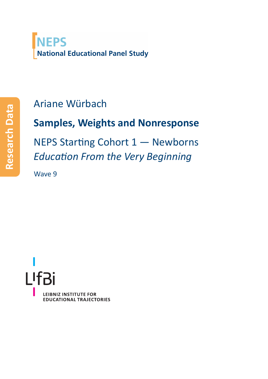

## Ariane Würbach

# **Samples, Weights and Nonresponse**

NEPS Starting Cohort 1 — Newborns *Education From the Very Beginning*

Wave 9

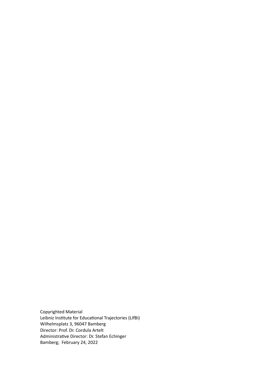Copyrighted Material Leibniz Institute for Educational Trajectories (LIfBi) Wilhelmsplatz 3, 96047 Bamberg Director: Prof. Dr. Cordula Artelt Administrative Director: Dr. Stefan Echinger Bamberg; February 24, 2022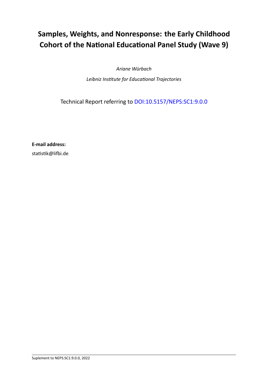### **Samples, Weights, and Nonresponse: the Early Childhood Cohort of the National Educational Panel Study (Wave 9)**

*Ariane Würbach*

*Leibniz Institute for Educational Trajectories*

Technical Report referring to [DOI:10.5157/NEPS:SC1:9.0.0](http://dx.doi.org/10.5157/NEPS:SC1:9.0.0)

**E‐mail address:**

statistik@lifbi.de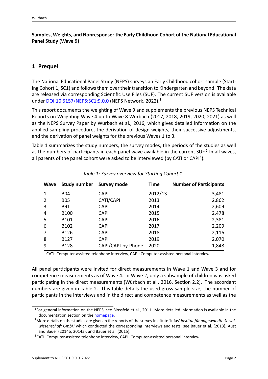#### **Samples, Weights, and Nonresponse: the Early Childhood Cohort of the National Educational Panel Study (Wave 9)**

### **1 Prequel**

The National Educational Panel Study (NEPS) surveys an Early Childhood cohort sample (Start‐ ing Cohort 1, SC1) and follows them over their transition to Kindergarten and beyond. The data are released via corresponding Scientific Use Files (SUF). The current SUF version is available under [DOI:10.5157/NEPS:SC1:9.0.0](http://dx.doi.org/10.5157/NEPS:SC1:9.0.0) (NEPS Network, [2022\)](#page-13-0).<sup>[1](#page-3-0)</sup>

This report documents the weighting of Wave 9 and supplements the previous NEPS Technical Reports on Weighting Wave 4 up to Wave 8 Würbach [\(2017](#page-13-1), [2018,](#page-14-0) [2019](#page-14-1), [2020,](#page-14-2) [2021](#page-14-3)) as well as the NEPS Survey Paper by Würbach et al., [2016,](#page-14-4) which gives detailed information on the applied sampling procedure, the derivation of design weights, their successive adjustments, and the derivation of panel weights for the previous Waves 1 to 3.

Table [1](#page-3-1) summarizes the study numbers, the survey modes, the periods of the studies as well as the numbers of participants in each panel wave available in the current SUF.<sup>[2](#page-3-2)</sup> In all waves, all parents of the panel cohort were asked to be interviewed (by CATI or CAPI<sup>[3](#page-3-3)</sup>).

<span id="page-3-1"></span>

| <b>Wave</b> | <b>Study number</b> | <b>Survey mode</b> | <b>Time</b> | <b>Number of Participants</b> |
|-------------|---------------------|--------------------|-------------|-------------------------------|
| 1           | B04                 | <b>CAPI</b>        | 2012/13     | 3,481                         |
| 2           | <b>BO5</b>          | CATI/CAPI          | 2013        | 2,862                         |
| 3           | <b>B91</b>          | <b>CAPI</b>        | 2014        | 2,609                         |
| 4           | <b>B100</b>         | <b>CAPI</b>        | 2015        | 2,478                         |
| 5           | B101                | <b>CAPI</b>        | 2016        | 2,381                         |
| 6           | B102                | <b>CAPI</b>        | 2017        | 2,209                         |
| 7           | <b>B126</b>         | <b>CAPI</b>        | 2018        | 2,116                         |
| 8           | B127                | <b>CAPI</b>        | 2019        | 2,070                         |
| 9           | <b>B128</b>         | CAPI/CAPI-by-Phone | 2020        | 1,848                         |

CATI: Computer‐assisted telephone interview, CAPI: Computer‐assisted personal interview.

All panel participants were invited for direct measurements in Wave 1 and Wave 3 and for competence measurements as of Wave 4. In Wave 2, only a subsample of children was asked participating in the direct measurements (Würbach et al., [2016,](#page-14-4) Section 2.2). The accordant numbers are given in Table [2](#page-4-0). This table details the used gross sample size, the number of participants in the interviews and in the direct and competence measurements as well as the

<span id="page-3-0"></span><sup>&</sup>lt;sup>1</sup>For general information on the NEPS, see Blossfeld et al., [2011](#page-13-2). More detailed information is available in the documentation section on the [homepage.](https://www.neps-data.de/de-de/datenzentrum/datenunddokumentation/startkohorteneugeborene/dokumentation.aspx)

<span id="page-3-2"></span><sup>2</sup>More details on the studies are given in the reports of the survey institute 'infas' *Institut für angewandte Sozial‐ wissenschaft GmbH* which conducted the corresponding interviews and tests; see Bauer et al. [\(2013\)](#page-13-3), Aust and Bauer [\(2014b,](#page-13-4) [2014a\)](#page-13-5), and Bauer et al. [\(2015](#page-13-6)).

<span id="page-3-3"></span><sup>&</sup>lt;sup>3</sup> CATI: Computer-assisted telephone interview, CAPI: Computer-assisted personal interview.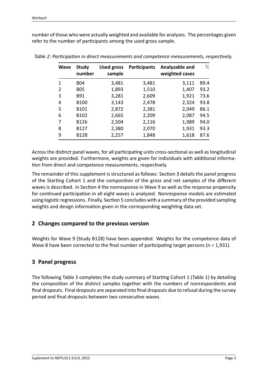number of those who were actually weighted and available for analyses. The percentages given refer to the number of participants among the used gross sample.

| <b>Wave</b> | <b>Study</b><br>number | <b>Used gross</b><br>sample | <b>Participants</b> | Analyzable and<br>weighted cases | $\%$ |
|-------------|------------------------|-----------------------------|---------------------|----------------------------------|------|
| 1           | <b>B04</b>             | 3,481                       | 3,481               | 3,111                            | 89.4 |
| 2           | <b>BO5</b>             | 1,893                       | 1,510               | 1,407                            | 93.2 |
| 3           | <b>B91</b>             | 3,281                       | 2,609               | 1,921                            | 73.6 |
| 4           | B <sub>100</sub>       | 3,143                       | 2,478               | 2,324                            | 93.8 |
| 5           | B <sub>101</sub>       | 2,872                       | 2,381               | 2,049                            | 86.1 |
| 6           | B <sub>102</sub>       | 2,665                       | 2,209               | 2,087                            | 94.5 |
| 7           | B126                   | 2,504                       | 2,116               | 1,989                            | 94.0 |
| 8           | B127                   | 2,380                       | 2,070               | 1,931                            | 93.3 |
| 9           | <b>B128</b>            | 2,257                       | 1,848               | 1,618                            | 87.6 |

<span id="page-4-0"></span>*Table 2: Participation in direct measurements and competence measurements, respectively.*

Across the distinct panel waves, for all participating units cross‐sectional as well as longitudinal weights are provided. Furthermore, weights are given for individuals with additional information from direct and competence measurements, respectively.

The remainder of this supplement is structured as follows: Section [3](#page-4-1) details the panel progress of the Starting Cohort 1 and the composition of the gross and net samples of the different waves is described. In Section [4](#page-5-0) the nonresponse in Wave 9 as well as the response propensity for continued participation in all eight waves is analyzed. Nonresponse models are estimated using logistic regressions. Finally, Section [5](#page-10-0) concludes with a summary of the provided sampling weights and design information given in the corresponding weighting data set.

#### **2 Changes compared to the previous version**

Weights for Wave 9 (Study B128) have been appended. Weights for the competence data of Wave 8 have been corrected to the final number of participating target persons (n = 1,931).

#### <span id="page-4-1"></span>**3 Panel progress**

The following Table [3](#page-5-1) completes the study summary of Starting Cohort 1 (Table 1) by detailing the composition of the distinct samples together with the numbers of nonrespondents and final dropouts. Final dropouts are separated into final dropouts due to refusal during the survey period and final dropouts between two consecutive waves.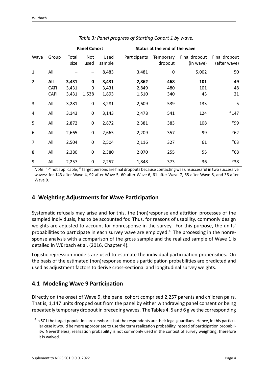<span id="page-5-1"></span>

|                |                                   |                         | <b>Panel Cohort</b>       |                         | Status at the end of the wave |                             |                            |                               |
|----------------|-----------------------------------|-------------------------|---------------------------|-------------------------|-------------------------------|-----------------------------|----------------------------|-------------------------------|
| Wave           | Group                             | Total<br>size           | Not<br>used               | Used<br>sample          | Participants                  | <b>Temporary</b><br>dropout | Final dropout<br>(in wave) | Final dropout<br>(after wave) |
| $\mathbf{1}$   | All                               |                         |                           | 8,483                   | 3,481                         | $\mathbf 0$                 | 5,002                      | 50                            |
| $\overline{2}$ | All<br><b>CATI</b><br><b>CAPI</b> | 3,431<br>3,431<br>3,431 | $\mathbf 0$<br>0<br>1,538 | 3,431<br>3,431<br>1,893 | 2,862<br>2,849<br>1,510       | 468<br>480<br>340           | 101<br>101<br>43           | 49<br>48<br>21                |
| 3              | All                               | 3,281                   | 0                         | 3,281                   | 2,609                         | 539                         | 133                        | 5                             |
| 4              | All                               | 3,143                   | 0                         | 3,143                   | 2,478                         | 541                         | 124                        | $a_{147}$                     |
| 5              | All                               | 2,872                   | $\pmb{0}$                 | 2,872                   | 2,381                         | 383                         | 108                        | $a$ 99                        |
| 6              | All                               | 2,665                   | $\mathbf 0$               | 2,665                   | 2,209                         | 357                         | 99                         | $a_{62}$                      |
| 7              | All                               | 2,504                   | $\mathbf 0$               | 2,504                   | 2,116                         | 327                         | 61                         | $a_{63}$                      |
| 8              | All                               | 2,380                   | $\mathbf 0$               | 2,380                   | 2,070                         | 255                         | 55                         | $a_{68}$                      |
| 9              | All                               | 2,257                   | 0                         | 2,257                   | 1,848                         | 373                         | 36                         | $a_{38}$                      |

*Table 3: Panel progress of Starting Cohort 1 by wave.*

*Note*: "‐" not applicable; *<sup>a</sup>* Target persons are final dropouts because contacting was unsuccessful in two successive waves: for 143 after Wave 4, 92 after Wave 5, 60 after Wave 6, 61 after Wave 7, 65 after Wave 8, and 36 after Wave 9.

#### <span id="page-5-0"></span>**4 Weighting Adjustments for Wave Participation**

Systematic refusals may arise and for this, the (non)response and attrition processes of the sampled individuals, has to be accounted for. Thus, for reasons of usability, commonly design weights are adjusted to account for nonresponse in the survey. For this purpose, the units' probabilities to participate in each survey wave are employed.<sup>[4](#page-5-2)</sup> The processing in the nonresponse analysis with a comparison of the gross sample and the realized sample of Wave 1 is detailed in Würbach et al.([2016](#page-14-4), Chapter 4).

Logistic regression models are used to estimate the individual participation propensities. On the basis of the estimated (non)response models participation probabilities are predicted and used as adjustment factors to derive cross‐sectional and longitudinal survey weights.

#### **4.1 Modeling Wave 9 Participation**

Directly on the onset of Wave 9, the panel cohort comprised 2,257 parents and children pairs. That is, 1,147 units dropped out from the panel by either withdrawing panel consent or being repeatedly temporary dropout in preceding waves. The Tables [4](#page-6-0), [5](#page-7-0) and [6](#page-7-1) give the corresponding

<span id="page-5-2"></span> $<sup>4</sup>$ In SC1 the target population are newborns but the respondents are their legal guardians. Hence, in this particu-</sup> lar case it would be more appropriate to use the term realization probability instead of participation probability. Nevertheless, realization probability is not commonly used in the context of survey weighting, therefore it is waived.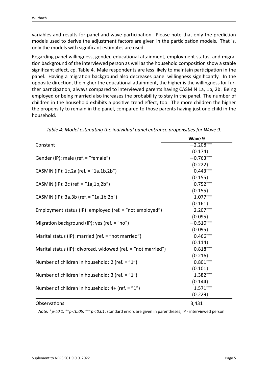variables and results for panel and wave participation. Please note that only the prediction models used to derive the adjustment factors are given in the participation models. That is, only the models with significant estimates are used.

Regarding panel willingness, gender, educational attainment, employment status, and migra‐ tion background of the interviewed person as well as the household composition show a stable significant effect, cp. Table [4](#page-6-0). Male respondents are less likely to maintain participation in the panel. Having a migration background also decreases panel willingness significantly. In the opposite direction, the higher the educational attainment, the higher is the willingness for fur‐ ther participation, always compared to interviewed parents having CASMIN 1a, 1b, 2b. Being employed or being married also increases the probability to stay in the panel. The number of children in the household exhibits a positive trend effect, too. The more children the higher the propensity to remain in the panel, compared to those parents having just one child in the household.

|                                                               | Wave 9      |
|---------------------------------------------------------------|-------------|
| Constant                                                      | $-2.208***$ |
|                                                               | (0.174)     |
| Gender (IP): male (ref. = "female")                           | $-0.763***$ |
|                                                               | (0.222)     |
| CASMIN (IP): 1c,2a (ref. = "1a,1b,2b")                        | $0.443***$  |
|                                                               | (0.155)     |
| CASMIN (IP): 2c (ref. = "1a,1b,2b")                           | $0.752***$  |
|                                                               | (0.155)     |
| CASMIN (IP): 3a, 3b (ref. = "1a, 1b, 2b")                     | $1.077***$  |
|                                                               | (0.161)     |
| Employment status (IP): employed (ref. = "not employed")      | $2.207***$  |
|                                                               | (0.095)     |
| Migration background (IP): yes (ref. = "no")                  | $-0.510***$ |
|                                                               | (0.095)     |
| Marital status (IP): married (ref. = "not married")           | $0.466***$  |
|                                                               | (0.114)     |
| Marital status (IP): divorced, widowed (ref. = "not married") | $0.818***$  |
|                                                               | (0.216)     |
| Number of children in household: 2 (ref. = "1")               | $0.801***$  |
|                                                               | (0.101)     |
| Number of children in household: $3$ (ref. = "1")             | $1.382***$  |
|                                                               | (0.144)     |
| Number of children in household: $4+$ (ref. = "1")            | $1.571***$  |
|                                                               | (0.229)     |
| Observations                                                  | 3,431       |

<span id="page-6-0"></span>*Table 4: Model estimating the individual panel entrance propensities for Wave 9.*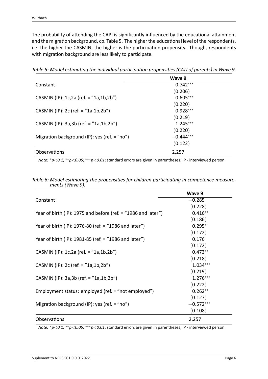The probability of attending the CAPI is significantly influenced by the educational attainment and the migration background, cp. Table [5](#page-7-0). The higher the educational level of the respondents, i.e. the higher the CASMIN, the higher is the participation propensity. Though, respondents with migration background are less likely to participate.

<span id="page-7-0"></span>

|                                              | Wave 9      |  |
|----------------------------------------------|-------------|--|
| Constant                                     | $0.742***$  |  |
|                                              | (0.206)     |  |
| CASMIN (IP): 1c,2a (ref. = "1a,1b,2b")       | $0.605***$  |  |
|                                              | (0.220)     |  |
| CASMIN (IP): 2c (ref. = $"1a,1b,2b"$ )       | $0.928***$  |  |
|                                              | (0.219)     |  |
| CASMIN (IP): $3a,3b$ (ref. = " $1a,1b,2b$ ") | $1.245***$  |  |
|                                              | (0.220)     |  |
| Migration background (IP): yes (ref. = "no") | $-0.444***$ |  |
|                                              | (0.122)     |  |
| Observations                                 | 2,257       |  |
|                                              |             |  |

*Table 5: Model estimating the individual participation propensities (CATI of parents) in Wave 9.*

*Note: <sup>∗</sup>p<0.1; ∗∗p<0.05; ∗∗∗p<0.01*; standard errors are given in parentheses; IP ‐ interviewed person.

<span id="page-7-1"></span>

|                                                                 | Wave 9      |
|-----------------------------------------------------------------|-------------|
| Constant                                                        | $-0.285$    |
|                                                                 | (0.228)     |
| Year of birth (IP): 1975 and before (ref. = $"1986$ and later") | $0.416**$   |
|                                                                 | (0.186)     |
| Year of birth (IP): 1976-80 (ref. = "1986 and later")           | $0.295*$    |
|                                                                 | (0.172)     |
| Year of birth (IP): 1981-85 (ref. = "1986 and later")           | 0.176       |
|                                                                 | (0.172)     |
| CASMIN (IP): 1c,2a (ref. = "1a,1b,2b")                          | $0.473**$   |
|                                                                 | (0.218)     |
| CASMIN (IP): 2c (ref. = $"1a,1b,2b"$ )                          | $1.034***$  |
|                                                                 | (0.219)     |
| CASMIN (IP): $3a,3b$ (ref. = " $1a,1b,2b$ ")                    | $1.276***$  |
|                                                                 | (0.222)     |
| Employment status: employed (ref. = "not employed")             | $0.262**$   |
|                                                                 | (0.127)     |
| Migration background (IP): yes (ref. $=$ "no")                  | $-0.572***$ |
|                                                                 | (0.108)     |
| Observations                                                    | 2,257       |

*Table 6: Model estimating the propensities for children participating in competence measure‐ ments (Wave 9).*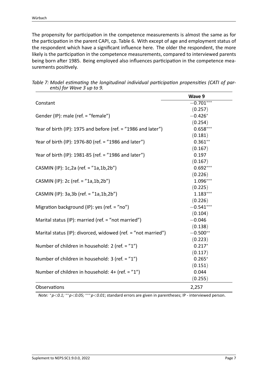The propensity for participation in the competence measurements is almost the same as for the participation in the parent CAPI, cp. Table [6](#page-7-1). With except of age and employment status of the respondent which have a significant influence here. The older the respondent, the more likely is the participation in the competence measurements, compared to interviewed parents being born after 1985. Being employed also influences participation in the competence mea‐ surements positively.

<span id="page-8-0"></span>

|                                                               | Wave 9      |
|---------------------------------------------------------------|-------------|
| Constant                                                      | $-0.701***$ |
|                                                               | (0.257)     |
| Gender (IP): male (ref. = "female")                           | $-0.426*$   |
|                                                               | (0.254)     |
| Year of birth (IP): 1975 and before (ref. = "1986 and later") | $0.658***$  |
|                                                               | (0.181)     |
| Year of birth (IP): 1976-80 (ref. = "1986 and later")         | $0.361**$   |
|                                                               | (0.167)     |
| Year of birth (IP): 1981-85 (ref. = "1986 and later")         | 0.197       |
|                                                               | (0.167)     |
| CASMIN (IP): 1c,2a (ref. = "1a,1b,2b")                        | $0.692***$  |
|                                                               | (0.226)     |
| CASMIN (IP): 2c (ref. = "1a,1b,2b")                           | $1.096***$  |
|                                                               | (0.225)     |
| CASMIN (IP): 3a, 3b (ref. = "1a, 1b, 2b")                     | $1.183***$  |
|                                                               | (0.226)     |
| Migration background (IP): yes (ref. = "no")                  | $-0.541***$ |
|                                                               | (0.104)     |
| Marital status (IP): married (ref. = "not married")           | $-0.046$    |
|                                                               | (0.138)     |
| Marital status (IP): divorced, widowed (ref. = "not married") | $-0.500**$  |
|                                                               | (0.223)     |
| Number of children in household: 2 (ref. = "1")               | $0.217*$    |
|                                                               | (0.117)     |
| Number of children in household: 3 (ref. = "1")               | $0.265*$    |
|                                                               | (0.151)     |
| Number of children in household: 4+ (ref. = "1")              | 0.044       |
|                                                               | (0.255)     |
| Observations                                                  | 2,257       |

*Table 7: Model estimating the longitudinal individual participation propensities (CATI of par‐ ents) for Wave 3 up to 9.*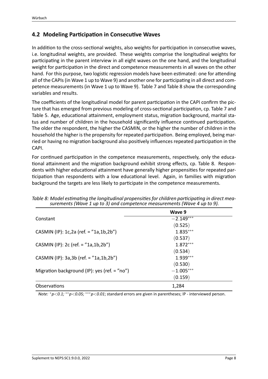#### **4.2 Modeling Participation in Consecutive Waves**

In addition to the cross‐sectional weights, also weights for participation in consecutive waves, i.e. longitudinal weights, are provided. These weights comprise the longitudinal weights for participating in the parent interview in all eight waves on the one hand, and the longitudinal weight for participation in the direct and competence measurements in all waves on the other hand. For this purpose, two logistic regression models have been estimated: one for attending all of the CAPIs (in Wave 1 up to Wave 9) and another one for participating in all direct and com‐ petence measurements (in Wave 1 up to Wave 9). Table [7](#page-8-0) and Table [8](#page-9-0) show the corresponding variables and results.

The coefficients of the longitudinal model for parent participation in the CAPI confirm the pic‐ ture that has emerged from previous modeling of cross‐sectional participation, cp. Table [7](#page-8-0) and Table [5](#page-7-0). Age, educational attainment, employment status, migration background, marital sta‐ tus and number of children in the household significantly influence continued participation. The older the respondent, the higher the CASMIN, or the higher the number of children in the household the higher is the propensity for repeated participation. Being employed, being mar‐ ried or having no migration background also positively influences repeated participation in the CAPI.

For continued participation in the competence measurements, respectively, only the educational attainment and the migration background exhibit strong effects, cp. Table [8.](#page-9-0) Respon‐ dents with higher educational attainment have generally higher propensities for repeated par‐ ticipation than respondents with a low educational level. Again, in families with migration background the targets are less likely to participate in the competence measurements.

<span id="page-9-0"></span>

|                                              | Wave 9      |
|----------------------------------------------|-------------|
| Constant                                     | $-2.149***$ |
|                                              | (0.525)     |
| CASMIN (IP): 1c,2a (ref. = "1a,1b,2b")       | $1.835***$  |
|                                              | (0.537)     |
| CASMIN (IP): 2c (ref. = $"1a,1b,2b"$ )       | $1.872***$  |
|                                              | (0.534)     |
| CASMIN (IP): $3a,3b$ (ref. = " $1a,1b,2b$ ") | $1.939***$  |
|                                              | (0.530)     |
| Migration background (IP): yes (ref. = "no") | $-1.005***$ |
|                                              | (0.159)     |
| Observations                                 | 1,284       |

*Table 8: Model estimating the longitudinal propensities for children participating in direct mea‐ surements (Wave 1 up to 3) and competence measurements (Wave 4 up to 9).*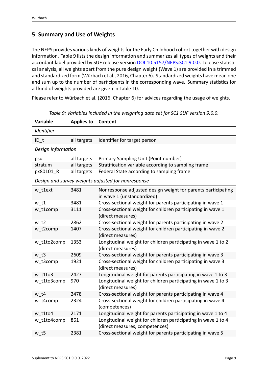### <span id="page-10-0"></span>**5 Summary and Use of Weights**

The NEPS provides various kinds of weights for the Early Childhood cohort together with design information. Table [9](#page-10-1) lists the design information and summarizes all types of weights and their accordant label provided by SUF release version [DOI:10.5157/NEPS:SC1:9.0.0.](http://dx.doi.org/10.5157/NEPS:SC1:9.0.0) To ease statistical analysis, all weights apart from the pure design weight (Wave 1) are provided in a trimmed and standardized form (Würbach et al., [2016,](#page-14-4) Chapter 6). Standardized weights have mean one and sum up to the number of participants in the corresponding wave. Summary statistics for all kind of weights provided are given in Table [10](#page-12-0).

<span id="page-10-1"></span>Please refer to Würbach et al.([2016](#page-14-4), Chapter 6) for advices regarding the usage of weights.

| <b>Variable</b>    | <b>Applies to</b> | <b>Content</b>                                                                                  |
|--------------------|-------------------|-------------------------------------------------------------------------------------------------|
| Identifier         |                   |                                                                                                 |
| $ID_t$             | all targets       | Identifier for target person                                                                    |
| Design information |                   |                                                                                                 |
| psu                | all targets       | Primary Sampling Unit (Point number)                                                            |
| stratum            | all targets       | Stratification variable according to sampling frame                                             |
| px80101_R          | all targets       | Federal State according to sampling frame                                                       |
|                    |                   | Design and survey weights adjusted for nonresponse                                              |
| w t1ext            | 3481              | Nonresponse adjusted design weight for parents participating<br>in wave 1 (unstandardized)      |
| $w_t$ t1           | 3481              | Cross-sectional weight for parents participating in wave 1                                      |
| w_t1comp           | 3111              | Cross-sectional weight for children participating in wave 1<br>(direct measures)                |
| w t2               | 2862              | Cross-sectional weight for parents participating in wave 2                                      |
| w_t2comp           | 1407              | Cross-sectional weight for children participating in wave 2<br>(direct measures)                |
| w t1to2comp        | 1353              | Longitudinal weight for children participating in wave 1 to 2<br>(direct measures)              |
| $w$ t3             | 2609              | Cross-sectional weight for parents participating in wave 3                                      |
| w t3comp           | 1921              | Cross-sectional weight for children participating in wave 3<br>(direct measures)                |
| w t1to3            | 2427              | Longitudinal weight for parents participating in wave 1 to 3                                    |
| w_t1to3comp        | 970               | Longitudinal weight for children participating in wave 1 to 3<br>(direct measures)              |
| w t4               | 2478              | Cross-sectional weight for parents participating in wave 4                                      |
| w_t4comp           | 2324              | Cross-sectional weight for children participating in wave 4<br>(competences)                    |
| w t1to4            | 2171              | Longitudinal weight for parents participating in wave 1 to 4                                    |
| w t1to4comp        | 861               | Longitudinal weight for children participating in wave 1 to 4<br>(direct measures, competences) |
| w <sub>t5</sub>    | 2381              | Cross-sectional weight for parents participating in wave 5                                      |

*Table 9: Variables included in the weighting data set for SC1 SUF version 9.0.0.*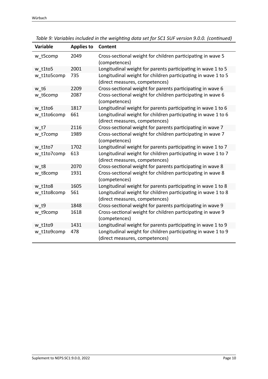| <b>Variable</b> | <b>Applies to</b> | <b>Content</b>                                                                                  |
|-----------------|-------------------|-------------------------------------------------------------------------------------------------|
| w t5comp        | 2049              | Cross-sectional weight for children participating in wave 5<br>(competences)                    |
| w t1to5         | 2001              | Longitudinal weight for parents participating in wave 1 to 5                                    |
| w t1to5comp     | 735               | Longitudinal weight for children participating in wave 1 to 5<br>(direct measures, competences) |
| w t6            | 2209              | Cross-sectional weight for parents participating in wave 6                                      |
| w t6comp        | 2087              | Cross-sectional weight for children participating in wave 6<br>(competences)                    |
| w t1to6         | 1817              | Longitudinal weight for parents participating in wave 1 to 6                                    |
| w t1to6comp     | 661               | Longitudinal weight for children participating in wave 1 to 6<br>(direct measures, competences) |
| w t7            | 2116              | Cross-sectional weight for parents participating in wave 7                                      |
| w_t7comp        | 1989              | Cross-sectional weight for children participating in wave 7<br>(competences)                    |
| w t1to7         | 1702              | Longitudinal weight for parents participating in wave 1 to 7                                    |
| w_t1to7comp     | 613               | Longitudinal weight for children participating in wave 1 to 7<br>(direct measures, competences) |
| w t8            | 2070              | Cross-sectional weight for parents participating in wave 8                                      |
| w_t8comp        | 1931              | Cross-sectional weight for children participating in wave 8<br>(competences)                    |
| w t1to8         | 1605              | Longitudinal weight for parents participating in wave 1 to 8                                    |
| w_t1to8comp     | 561               | Longitudinal weight for children participating in wave 1 to 8<br>(direct measures, competences) |
| w t9            | 1848              | Cross-sectional weight for parents participating in wave 9                                      |
| w t9comp        | 1618              | Cross-sectional weight for children participating in wave 9<br>(competences)                    |
| w t1to9         | 1431              | Longitudinal weight for parents participating in wave 1 to 9                                    |
| w_t1to9comp     | 478               | Longitudinal weight for children participating in wave 1 to 9<br>(direct measures, competences) |

*Table 9: Variables included in the weighting data set for SC1 SUF version 9.0.0. (continued)*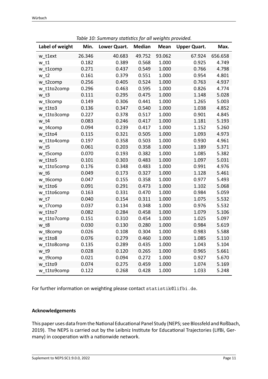<span id="page-12-0"></span>

|                 | rabic 10. Sammary statistics for an weights provided. |              |               |             |                     |         |  |  |
|-----------------|-------------------------------------------------------|--------------|---------------|-------------|---------------------|---------|--|--|
| Label of weight | Min.                                                  | Lower Quart. | <b>Median</b> | <b>Mean</b> | <b>Upper Quart.</b> | Max.    |  |  |
| w t1ext         | 26.346                                                | 40.683       | 49.752        | 93.062      | 67.924              | 656.658 |  |  |
| w <sub>t1</sub> | 0.182                                                 | 0.389        | 0.568         | 1.000       | 0.925               | 4.749   |  |  |
| w t1comp        | 0.271                                                 | 0.437        | 0.549         | 1.000       | 0.766               | 4.798   |  |  |
| w t2            | 0.161                                                 | 0.379        | 0.551         | 1.000       | 0.954               | 4.801   |  |  |
| w_t2comp        | 0.256                                                 | 0.405        | 0.524         | 1.000       | 0.763               | 4.937   |  |  |
| w t1to2comp     | 0.296                                                 | 0.463        | 0.595         | 1.000       | 0.826               | 4.774   |  |  |
| $w_t$ t3        | 0.111                                                 | 0.295        | 0.475         | 1.000       | 1.148               | 5.028   |  |  |
| w t3comp        | 0.149                                                 | 0.306        | 0.441         | 1.000       | 1.265               | 5.003   |  |  |
| w t1to3         | 0.136                                                 | 0.347        | 0.540         | 1.000       | 1.038               | 4.852   |  |  |
| w t1to3comp     | 0.227                                                 | 0.378        | 0.517         | 1.000       | 0.901               | 4.845   |  |  |
| w t4            | 0.083                                                 | 0.246        | 0.417         | 1.000       | 1.181               | 5.193   |  |  |
| w t4comp        | 0.094                                                 | 0.239        | 0.417         | 1.000       | 1.152               | 5.260   |  |  |
| w t1to4         | 0.115                                                 | 0.321        | 0.505         | 1.000       | 1.093               | 4.973   |  |  |
| w t1to4comp     | 0.197                                                 | 0.358        | 0.503         | 1.000       | 0.930               | 4.961   |  |  |
| w <sub>t5</sub> | 0.061                                                 | 0.203        | 0.358         | 1.000       | 1.189               | 5.371   |  |  |
| w_t5comp        | 0.070                                                 | 0.193        | 0.382         | 1.000       | 1.085               | 5.382   |  |  |
| w t1to5         | 0.101                                                 | 0.303        | 0.483         | 1.000       | 1.097               | 5.031   |  |  |
| w_t1to5comp     | 0.176                                                 | 0.348        | 0.483         | 1.000       | 0.991               | 4.976   |  |  |
| w t6            | 0.049                                                 | 0.173        | 0.327         | 1.000       | 1.128               | 5.461   |  |  |
| w t6comp        | 0.047                                                 | 0.155        | 0.358         | 1.000       | 0.977               | 5.493   |  |  |
| w t1to6         | 0.091                                                 | 0.291        | 0.473         | 1.000       | 1.102               | 5.068   |  |  |
| w t1to6comp     | 0.163                                                 | 0.331        | 0.470         | 1.000       | 0.984               | 5.059   |  |  |
| w t7            | 0.040                                                 | 0.154        | 0.311         | 1.000       | 1.075               | 5.532   |  |  |
| w_t7comp        | 0.037                                                 | 0.134        | 0.348         | 1.000       | 0.976               | 5.532   |  |  |
| w t1to7         | 0.082                                                 | 0.284        | 0.458         | 1.000       | 1.079               | 5.106   |  |  |
| w t1to7comp     | 0.151                                                 | 0.310        | 0.454         | 1.000       | 1.025               | 5.097   |  |  |
| w t8            | 0.030                                                 | 0.130        | 0.280         | 1.000       | 0.984               | 5.619   |  |  |
| w t8comp        | 0.026                                                 | 0.108        | 0.304         | 1.000       | 0.983               | 5.588   |  |  |
| w t1to8         | 0.076                                                 | 0.279        | 0.460         | 1.000       | 1.085               | 5.110   |  |  |
| w t1to8comp     | 0.135                                                 | 0.289        | 0.435         | 1.000       | 1.043               | 5.104   |  |  |
| w t9            | 0.028                                                 | 0.120        | 0.265         | 1.000       | 0.965               | 5.661   |  |  |
| w_t9comp        | 0.021                                                 | 0.094        | 0.272         | 1.000       | 0.927               | 5.670   |  |  |
| w t1to9         | 0.074                                                 | 0.275        | 0.459         | 1.000       | 1.074               | 5.169   |  |  |
| w t1to9comp     | 0.122                                                 | 0.268        | 0.428         | 1.000       | 1.033               | 5.248   |  |  |

*Table 10: Summary statistics for all weights provided.*

For further information on weighting please contact statistik@lifbi.de.

#### **Acknowledgements**

This paper uses data from the National Educational Panel Study (NEPS; see Blossfeld and Roßbach, [2019](#page-13-7)). The NEPS is carried out by the Leibniz Institute for Educational Trajectories (LIfBi, Ger‐ many) in cooperation with a nationwide network.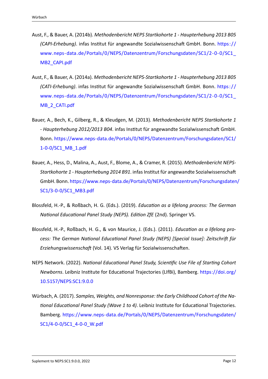- <span id="page-13-4"></span>Aust, F., & Bauer, A. (2014b). *Methodenbericht NEPS Startkohorte 1 ‐ Haupterhebung 2013 B05 (CAPI‐Erhebung)*. infas Institut für angewandte Sozialwissenschaft GmbH. Bonn. [https: / /](https://www.neps-data.de/Portals/0/NEPS/Datenzentrum/Forschungsdaten/SC1/2-0-0/SC1_MB2_CAPI.pdf) www.neps-data.de/Portals/0/NEPS/Datenzentrum/Forschungsdaten/SC1/2-0-0/SC1 [MB2\\_CAPI.pdf](https://www.neps-data.de/Portals/0/NEPS/Datenzentrum/Forschungsdaten/SC1/2-0-0/SC1_MB2_CAPI.pdf)
- <span id="page-13-5"></span>Aust, F., & Bauer, A. (2014a). *Methodenbericht NEPS‐Startkohorte 1 ‐ Haupterhebung 2013 B05 (CATI‐Erhebung)*. infas Institut für angewandte Sozialwissenschaft GmbH. Bonn. [https: / /](https://www.neps-data.de/Portals/0/NEPS/Datenzentrum/Forschungsdaten/SC1/2-0-0/SC1_MB_2_CATI.pdf) [www.neps‐data.de/Portals/0/NEPS/Datenzentrum/Forschungsdaten/SC1/2‐0‐0/SC1\\_](https://www.neps-data.de/Portals/0/NEPS/Datenzentrum/Forschungsdaten/SC1/2-0-0/SC1_MB_2_CATI.pdf) [MB\\_2\\_CATI.pdf](https://www.neps-data.de/Portals/0/NEPS/Datenzentrum/Forschungsdaten/SC1/2-0-0/SC1_MB_2_CATI.pdf)
- <span id="page-13-3"></span>Bauer, A., Bech, K., Gilberg, R., & Kleudgen, M. (2013). *Methodenbericht NEPS Startkohorte 1 ‐ Haupterhebung 2012/2013 B04*. infas Institut für angewandte Sozialwissenschaft GmbH. Bonn. [https://www.neps‐data.de/Portals/0/NEPS/Datenzentrum/Forschungsdaten/SC1/](https://www.neps-data.de/Portals/0/NEPS/Datenzentrum/Forschungsdaten/SC1/1-0-0/SC1_MB_1.pdf) [1‐0‐0/SC1\\_MB\\_1.pdf](https://www.neps-data.de/Portals/0/NEPS/Datenzentrum/Forschungsdaten/SC1/1-0-0/SC1_MB_1.pdf)
- <span id="page-13-6"></span>Bauer, A., Hess, D., Malina, A., Aust, F., Blome, A., & Cramer, R. (2015). *Methodenbericht NEPS‐ Startkohorte 1 ‐ Haupterhebung 2014 B91*. infas Institut für angewandte Sozialwissenschaft GmbH. Bonn. [https://www.neps‐data.de/Portals/0/NEPS/Datenzentrum/Forschungsdaten/](https://www.neps-data.de/Portals/0/NEPS/Datenzentrum/Forschungsdaten/SC1/3-0-0/SC1_MB3.pdf) [SC1/3‐0‐0/SC1\\_MB3.pdf](https://www.neps-data.de/Portals/0/NEPS/Datenzentrum/Forschungsdaten/SC1/3-0-0/SC1_MB3.pdf)
- <span id="page-13-7"></span>Blossfeld, H.‐P., & Roßbach, H. G. (Eds.). (2019). *Education as a lifelong process: The German National Educational Panel Study (NEPS). Edition ZfE* (2nd). Springer VS.
- <span id="page-13-2"></span>Blossfeld, H.‐P., Roßbach, H. G., & von Maurice, J. (Eds.). (2011). *Education as a lifelong pro‐ cess: The German National Educational Panel Study (NEPS) [Special Issue]: Zeitschrift für Erziehungswissenschaft* (Vol. 14). VS Verlag für Sozialwissenschaften.
- <span id="page-13-0"></span>NEPS Network. (2022). *National Educational Panel Study, Scientific Use File of Starting Cohort Newborns*. Leibniz Institute for Educational Trajectories (LIfBi), Bamberg. [https://doi.org/](https://doi.org/10.5157/NEPS:SC1:9.0.0) [10.5157/NEPS:SC1:9.0.0](https://doi.org/10.5157/NEPS:SC1:9.0.0)
- <span id="page-13-1"></span>Würbach, A. (2017). *Samples, Weights, and Nonresponse: the Early Childhood Cohort of the Na‐ tional Educational Panel Study (Wave 1 to 4)*. Leibniz Institute for Educational Trajectories. Bamberg. [https://www.neps‐data.de/Portals/0/NEPS/Datenzentrum/Forschungsdaten/](https://www.neps-data.de/Portals/0/NEPS/Datenzentrum/Forschungsdaten/SC1/4-0-0/SC1_4-0-0_W.pdf) [SC1/4‐0‐0/SC1\\_4‐0‐0\\_W.pdf](https://www.neps-data.de/Portals/0/NEPS/Datenzentrum/Forschungsdaten/SC1/4-0-0/SC1_4-0-0_W.pdf)